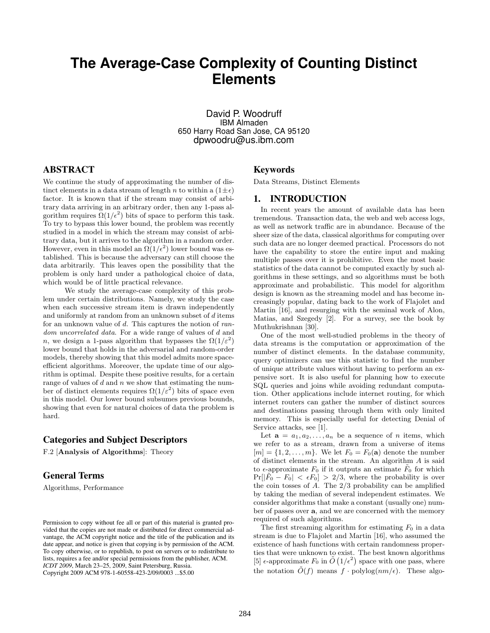# **The Average-Case Complexity of Counting Distinct Elements**

David P. Woodruff IBM Almaden 650 Harry Road San Jose, CA 95120 dpwoodru@us.ibm.com

# ABSTRACT

We continue the study of approximating the number of distinct elements in a data stream of length n to within a  $(1 \pm \epsilon)$ factor. It is known that if the stream may consist of arbitrary data arriving in an arbitrary order, then any 1-pass algorithm requires  $\Omega(1/\epsilon^2)$  bits of space to perform this task. To try to bypass this lower bound, the problem was recently studied in a model in which the stream may consist of arbitrary data, but it arrives to the algorithm in a random order. However, even in this model an  $\Omega(1/\epsilon^2)$  lower bound was established. This is because the adversary can still choose the data arbitrarily. This leaves open the possibility that the problem is only hard under a pathological choice of data, which would be of little practical relevance.

We study the average-case complexity of this problem under certain distributions. Namely, we study the case when each successive stream item is drawn independently and uniformly at random from an unknown subset of d items for an unknown value of d. This captures the notion of random uncorrelated data. For a wide range of values of d and n, we design a 1-pass algorithm that bypasses the  $\Omega(1/\varepsilon^2)$ lower bound that holds in the adversarial and random-order models, thereby showing that this model admits more spaceefficient algorithms. Moreover, the update time of our algorithm is optimal. Despite these positive results, for a certain range of values of  $d$  and  $n$  we show that estimating the number of distinct elements requires  $\Omega(1/\varepsilon^2)$  bits of space even in this model. Our lower bound subsumes previous bounds, showing that even for natural choices of data the problem is hard.

# Categories and Subject Descriptors

F.2 [Analysis of Algorithms]: Theory

# General Terms

Algorithms, Performance

#### Keywords

Data Streams, Distinct Elements

#### 1. INTRODUCTION

In recent years the amount of available data has been tremendous. Transaction data, the web and web access logs, as well as network traffic are in abundance. Because of the sheer size of the data, classical algorithms for computing over such data are no longer deemed practical. Processors do not have the capability to store the entire input and making multiple passes over it is prohibitive. Even the most basic statistics of the data cannot be computed exactly by such algorithms in these settings, and so algorithms must be both approximate and probabilistic. This model for algorithm design is known as the streaming model and has become increasingly popular, dating back to the work of Flajolet and Martin [16], and resurging with the seminal work of Alon, Matias, and Szegedy [2]. For a survey, see the book by Muthukrishnan [30].

One of the most well-studied problems in the theory of data streams is the computation or approximation of the number of distinct elements. In the database community, query optimizers can use this statistic to find the number of unique attribute values without having to perform an expensive sort. It is also useful for planning how to execute SQL queries and joins while avoiding redundant computation. Other applications include internet routing, for which internet routers can gather the number of distinct sources and destinations passing through them with only limited memory. This is especially useful for detecting Denial of Service attacks, see [1].

Let  $\mathbf{a} = a_1, a_2, \ldots, a_n$  be a sequence of *n* items, which we refer to as a stream, drawn from a universe of items  $[m] = \{1, 2, \ldots, m\}$ . We let  $F_0 = F_0(\mathbf{a})$  denote the number of distinct elements in the stream. An algorithm A is said to  $\epsilon$ -approximate  $F_0$  if it outputs an estimate  $\tilde{F}_0$  for which  $Pr[|\tilde{F}_0 - F_0| < \epsilon F_0] > 2/3$ , where the probability is over the coin tosses of A. The 2/3 probability can be amplified by taking the median of several independent estimates. We consider algorithms that make a constant (usually one) number of passes over a, and we are concerned with the memory required of such algorithms.

The first streaming algorithm for estimating  $F_0$  in a data stream is due to Flajolet and Martin [16], who assumed the existence of hash functions with certain randomness properties that were unknown to exist. The best known algorithms [5]  $\epsilon$ -approximate  $F_0$  in  $\tilde{O}(1/\epsilon^2)$  space with one pass, where the notation  $\tilde{O}(f)$  means  $f \cdot \text{polylog}(nm/\epsilon)$ . These algo-

Permission to copy without fee all or part of this material is granted provided that the copies are not made or distributed for direct commercial advantage, the ACM copyright notice and the title of the publication and its date appear, and notice is given that copying is by permission of the ACM. To copy otherwise, or to republish, to post on servers or to redistribute to lists, requires a fee and/or special permissions from the publisher, ACM. *ICDT 2009*, March 23–25, 2009, Saint Petersburg, Russia. Copyright 2009 ACM 978-1-60558-423-2/09/0003 ...\$5.00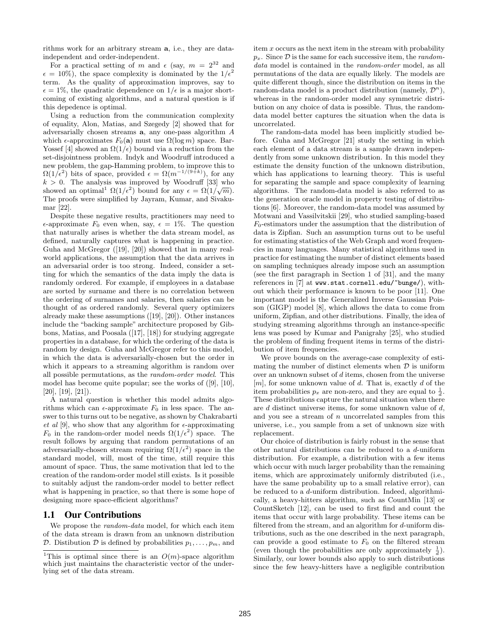rithms work for an arbitrary stream a, i.e., they are dataindependent and order-independent.

For a practical setting of m and  $\epsilon$  (say,  $m = 2^{32}$  and  $\epsilon = 10\%$ , the space complexity is dominated by the  $1/\epsilon^2$ term. As the quality of approximation improves, say to  $\epsilon = 1\%$ , the quadratic dependence on  $1/\epsilon$  is a major shortcoming of existing algorithms, and a natural question is if this depedence is optimal.

Using a reduction from the communication complexity of equality, Alon, Matias, and Szegedy [2] showed that for adversarially chosen streams a, any one-pass algorithm A which  $\epsilon$ -approximates  $F_0(\mathbf{a})$  must use  $\Omega(\log m)$  space. Bar-Yossef [4] showed an  $\Omega(1/\epsilon)$  bound via a reduction from the set-disjointness problem. Indyk and Woodruff introduced a new problem, the gap-Hamming problem, to improve this to  $\Omega(1/\epsilon^2)$  bits of space, provided  $\epsilon = \Omega(m^{-1/(9+k)}),$  for any  $k > 0$ . The analysis was improved by Woodruff [33] who showed an optimal<sup>1</sup>  $\Omega(1/\epsilon^2)$  bound for any  $\epsilon = \Omega(1/\sqrt{m})$ . The proofs were simplified by Jayram, Kumar, and Sivakumar [22].

Despite these negative results, practitioners may need to  $\epsilon$ -approximate  $F_0$  even when, say,  $\epsilon = 1\%$ . The question that naturally arises is whether the data stream model, as defined, naturally captures what is happening in practice. Guha and McGregor ([19], [20]) showed that in many realworld applications, the assumption that the data arrives in an adversarial order is too strong. Indeed, consider a setting for which the semantics of the data imply the data is randomly ordered. For example, if employees in a database are sorted by surname and there is no correlation between the ordering of surnames and salaries, then salaries can be thought of as ordered randomly. Several query optimizers already make these assumptions ([19], [20]). Other instances include the "backing sample" architecture proposed by Gibbons, Matias, and Poosala ([17], [18]) for studying aggregate properties in a database, for which the ordering of the data is random by design. Guha and McGregor refer to this model, in which the data is adversarially-chosen but the order in which it appears to a streaming algorithm is random over all possible permutations, as the random-order model. This model has become quite popular; see the works of ([9], [10],  $[20]$ ,  $[19]$ ,  $[21]$ ).

A natural question is whether this model admits algorithms which can  $\epsilon$ -approximate  $F_0$  in less space. The answer to this turns out to be negative, as shown by Chakrabarti et al [9], who show that any algorithm for  $\epsilon$ -approximating  $F_0$  in the random-order model needs  $\Omega(1/\epsilon^2)$  space. The result follows by arguing that random permutations of an adversarially-chosen stream requiring  $\Omega(1/\epsilon^2)$  space in the standard model, will, most of the time, still require this amount of space. Thus, the same motivation that led to the creation of the random-order model still exists. Is it possible to suitably adjust the random-order model to better reflect what is happening in practice, so that there is some hope of designing more space-efficient algorithms?

#### 1.1 Our Contributions

We propose the *random-data* model, for which each item of the data stream is drawn from an unknown distribution D. Distibution D is defined by probabilities  $p_1, \ldots, p_m$ , and item x occurs as the next item in the stream with probability  $p_x$ . Since  $\mathcal D$  is the same for each successive item, the *random*data model is contained in the *random-order* model, as all permutations of the data are equally likely. The models are quite different though, since the distribution on items in the random-data model is a product distribution (namely,  $\mathcal{D}^n$ ), whereas in the random-order model any symmetric distribution on any choice of data is possible. Thus, the randomdata model better captures the situation when the data is uncorrelated.

The random-data model has been implicitly studied before. Guha and McGregor [21] study the setting in which each element of a data stream is a sample drawn independently from some unknown distribution. In this model they estimate the density function of the unknown distribution, which has applications to learning theory. This is useful for separating the sample and space complexity of learning algorithms. The random-data model is also referred to as the generation oracle model in property testing of distributions [6]. Moreover, the random-data model was assumed by Motwani and Vassilvitskii [29], who studied sampling-based  $F_0$ -estimators under the assumption that the distribution of data is Zipfian. Such an assumption turns out to be useful for estimating statistics of the Web Graph and word frequencies in many languages. Many statistical algorithms used in practice for estimating the number of distinct elements based on sampling techniques already impose such an assumption (see the first paragraph in Section 1 of [31], and the many references in [7] at www.stat.cornell.edu/~bunge/), without which their performance is known to be poor [11]. One important model is the Generalized Inverse Gaussian Poisson (GIGP) model [8], which allows the data to come from uniform, Zipfian, and other distributions. Finally, the idea of studying streaming algorithms through an instance-specific lens was posed by Kumar and Panigrahy [25], who studied the problem of finding frequent items in terms of the distribution of item frequencies.

We prove bounds on the average-case complexity of estimating the number of distinct elements when  $\mathcal D$  is uniform over an unknown subset of d items, chosen from the universe  $[m]$ , for some unknown value of d. That is, exactly d of the item probabilities  $p_x$  are non-zero, and they are equal to  $\frac{1}{d}$ . These distributions capture the natural situation when there are d distinct universe items, for some unknown value of d, and you see a stream of  $n$  uncorrelated samples from this universe, i.e., you sample from a set of unknown size with replacement.

Our choice of distribution is fairly robust in the sense that other natural distributions can be reduced to a d-uniform distribution. For example, a distribution with a few items which occur with much larger probability than the remaining items, which are approximately uniformly distributed (i.e., have the same probability up to a small relative error), can be reduced to a d-uniform distribution. Indeed, algorithmically, a heavy-hitters algorithm, such as CountMin [13] or CountSketch [12], can be used to first find and count the items that occur with large probability. These items can be filtered from the stream, and an algorithm for d-uniform distributions, such as the one described in the next paragraph, can provide a good estimate to  $F_0$  on the filtered stream (even though the probabilities are only approximately  $\frac{1}{d}$ ). Similarly, our lower bounds also apply to such distributions since the few heavy-hitters have a negligible contribution

<sup>&</sup>lt;sup>1</sup>This is optimal since there is an  $O(m)$ -space algorithm which just maintains the characteristic vector of the underlying set of the data stream.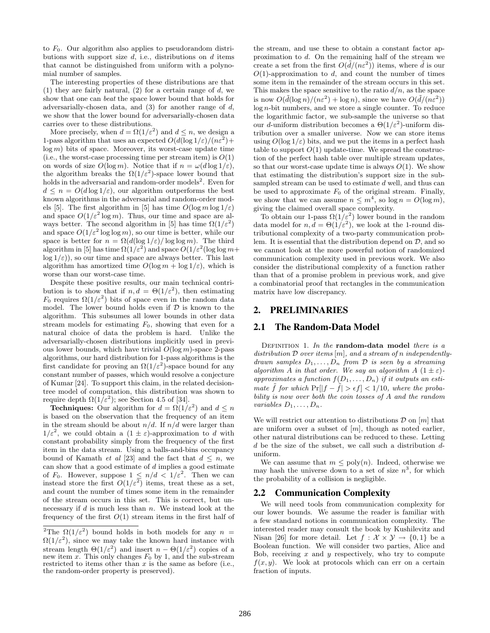to  $F_0$ . Our algorithm also applies to pseudorandom distributions with support size  $d$ , i.e., distributions on  $d$  items that cannot be distinguished from uniform with a polynomial number of samples.

The interesting properties of these distributions are that (1) they are fairly natural, (2) for a certain range of  $d$ , we show that one can beat the space lower bound that holds for adversarially-chosen data, and (3) for another range of d, we show that the lower bound for adversarially-chosen data carries over to these distributions.

More precisely, when  $d = \Omega(1/\varepsilon^2)$  and  $d \leq n$ , we design a 1-pass algorithm that uses an expected  $O(d(\log 1/\varepsilon)/(n\varepsilon^2) +$  $log m)$  bits of space. Moreover, its worst-case update time (i.e., the worst-case processing time per stream item) is  $O(1)$ on words of size  $O(\log m)$ . Notice that if  $n = \omega(d \log 1/\varepsilon)$ , the algorithm breaks the  $\Omega(1/\varepsilon^2)$ -space lower bound that holds in the adversarial and random-order models<sup>2</sup>. Even for  $d \leq n = O(d \log 1/\varepsilon)$ , our algorithm outperforms the best known algorithms in the adversarial and random-order models [5]. The first algorithm in [5] has time  $O(\log m \log 1/\varepsilon)$ and space  $O(1/\varepsilon^2 \log m)$ . Thus, our time and space are always better. The second algorithm in [5] has time  $\Omega(1/\varepsilon^2)$ and space  $O(1/\varepsilon^2 \log \log m)$ , so our time is better, while our space is better for  $n = \Omega(d(\log 1/\varepsilon)/\log \log m)$ . The third algorithm in [5] has time  $\Omega(1/\varepsilon^2)$  and space  $O(1/\varepsilon^2(\log\log m +$  $log 1/\epsilon$ ), so our time and space are always better. This last algorithm has amortized time  $O(\log m + \log 1/\varepsilon)$ , which is worse than our worst-case time.

Despite these positive results, our main technical contribution is to show that if  $n, d = \Theta(1/\varepsilon^2)$ , then estimating  $F_0$  requires  $\Omega(1/\varepsilon^2)$  bits of space even in the random data model. The lower bound holds even if  $D$  is known to the algorithm. This subsumes all lower bounds in other data stream models for estimating  $F_0$ , showing that even for a natural choice of data the problem is hard. Unlike the adversarially-chosen distributions implicitly used in previous lower bounds, which have trivial  $O(\log m)$ -space 2-pass algorithms, our hard distribution for 1-pass algorithms is the first candidate for proving an  $\Omega(1/\varepsilon^2)$ -space bound for any constant number of passes, which would resolve a conjecture of Kumar [24]. To support this claim, in the related decisiontree model of computation, this distribution was shown to require depth  $\Omega(1/\varepsilon^2)$ ; see Section 4.5 of [34].

**Techniques:** Our algorithm for  $d = \Omega(1/\varepsilon^2)$  and  $d \leq n$ is based on the observation that the frequency of an item in the stream should be about  $n/d$ . If  $n/d$  were larger than  $1/\varepsilon^2$ , we could obtain a  $(1 \pm \varepsilon)$ -approximation to d with constant probability simply from the frequency of the first item in the data stream. Using a balls-and-bins occupancy bound of Kamath *et al* [23] and the fact that  $d \leq n$ , we can show that a good estimate of d implies a good estimate of  $F_0$ . However, suppose  $1 \leq n/d < 1/\varepsilon^2$ . Then we can instead store the first  $O(1/\varepsilon^2)$  items, treat these as a set, and count the number of times some item in the remainder of the stream occurs in this set. This is correct, but unnecessary if  $d$  is much less than  $n$ . We instead look at the frequency of the first  $O(1)$  stream items in the first half of the stream, and use these to obtain a constant factor approximation to d. On the remaining half of the stream we create a set from the first  $O(\tilde{d}/(n\varepsilon^2))$  items, where  $\tilde{d}$  is our  $O(1)$ -approximation to d, and count the number of times some item in the remainder of the stream occurs in this set. This makes the space sensitive to the ratio  $d/n$ , as the space is now  $O(\tilde{d}(\log n)/(n\epsilon^2) + \log n)$ , since we have  $O(\tilde{d}/(n\epsilon^2))$ log n-bit numbers, and we store a single counter. To reduce the logarithmic factor, we sub-sample the universe so that our d-uniform distribution becomes a  $\Theta(1/\varepsilon^2)$ -uniform distribution over a smaller universe. Now we can store items using  $O(\log 1/\varepsilon)$  bits, and we put the items in a perfect hash table to support  $O(1)$  update-time. We spread the construction of the perfect hash table over multiple stream updates, so that our worst-case update time is always  $O(1)$ . We show that estimating the distribution's support size in the subsampled stream can be used to estimate d well, and thus can be used to approximate  $F_0$  of the original stream. Finally, we show that we can assume  $n \leq m^4$ , so  $\log n = O(\log m)$ , giving the claimed overall space complexity.

To obtain our 1-pass  $\Omega(1/\varepsilon^2)$  lower bound in the random data model for  $n, d = \Theta(1/\varepsilon^2)$ , we look at the 1-round distributional complexity of a two-party communication problem. It is essential that the distribution depend on  $D$ , and so we cannot look at the more powerful notion of randomized communication complexity used in previous work. We also consider the distributional complexity of a function rather than that of a promise problem in previous work, and give a combinatorial proof that rectangles in the communication matrix have low discrepancy.

#### 2. PRELIMINARIES

#### 2.1 The Random-Data Model

DEFINITION 1. In the random-data model there is a distribution  $\mathcal D$  over items  $[m]$ , and a stream of n independentlydrawn samples  $D_1, \ldots, D_n$  from  $\mathcal D$  is seen by a streaming algorithm A in that order. We say an algorithm  $A(1 \pm \varepsilon)$ approximates a function  $f(D_1, \ldots, D_n)$  if it outputs an estimate  $\tilde{f}$  for which Pr $||f - \tilde{f}| > \epsilon f$  < 1/10, where the probability is now over both the coin tosses of A and the random variables  $D_1, \ldots, D_n$ .

We will restrict our attention to distributions  $\mathcal D$  on  $[m]$  that are uniform over a subset of  $[m]$ , though as noted earlier, other natural distributions can be reduced to these. Letting  $d$  be the size of the subset, we call such a distribution  $d$ uniform.

We can assume that  $m \leq poly(n)$ . Indeed, otherwise we may hash the universe down to a set of size  $n^3$ , for which the probability of a collision is negligible.

#### 2.2 Communication Complexity

We will need tools from communication complexity for our lower bounds. We assume the reader is familiar with a few standard notions in communication complexity. The interested reader may consult the book by Kushilevitz and Nisan [26] for more detail. Let  $f : \mathcal{X} \times \mathcal{Y} \rightarrow \{0, 1\}$  be a Boolean function. We will consider two parties, Alice and Bob, receiving  $x$  and  $y$  respectively, who try to compute  $f(x, y)$ . We look at protocols which can err on a certain fraction of inputs.

<sup>&</sup>lt;sup>2</sup>The  $\Omega(1/\varepsilon^2)$  bound holds in both models for any  $n =$  $\Omega(1/\varepsilon^2)$ , since we may take the known hard instance with stream length  $\Theta(1/\varepsilon^2)$  and insert  $n - \Theta(1/\varepsilon^2)$  copies of a new item x. This only changes  $F_0$  by 1, and the sub-stream restricted to items other than  $x$  is the same as before (i.e., the random-order property is preserved).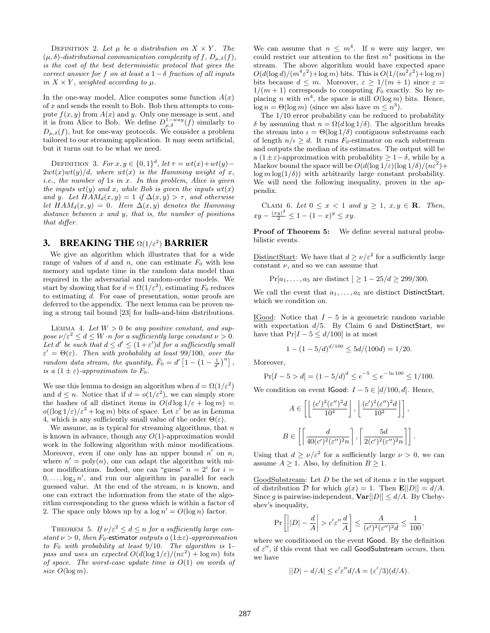DEFINITION 2. Let  $\mu$  be a distribution on  $X \times Y$ . The  $(\mu, \delta)$ -distributional communication complexity of f,  $D_{\mu,\delta}(f)$ , is the cost of the best deterministic protocol that gives the correct answer for f on at least a  $1-\delta$  fraction of all inputs in  $X \times Y$ , weighted according to  $\mu$ .

In the one-way model, Alice computes some function  $A(x)$ of x and sends the result to Bob. Bob then attempts to compute  $f(x, y)$  from  $A(x)$  and y. Only one message is sent, and it is from Alice to Bob. We define  $D_{\mu,\delta}^{1-way}(f)$  similarly to  $D_{\mu,\delta}(f)$ , but for one-way protocols. We consider a problem tailored to our streaming application. It may seem artificial, but it turns out to be what we need.

DEFINITION 3. For  $x, y \in \{0, 1\}^d$ , let  $\tau = wt(x) + wt(y) 2wt(x)wt(y)/d$ , where  $wt(x)$  is the Hamming weight of x,  $i.e.,$  the number of 1s in  $x.$  In this problem, Alice is given the inputs  $wt(y)$  and x, while Bob is given the inputs  $wt(x)$ and y. Let  $HAM_d(x, y) = 1$  if  $\Delta(x, y) > \tau$ , and otherwise let  $HAM_d(x, y) = 0$ . Here  $\Delta(x, y)$  denotes the Hamming distance between  $x$  and  $y$ , that is, the number of positions that differ.

## 3. BREAKING THE  $\Omega(1/\varepsilon^2)$  BARRIER

We give an algorithm which illustrates that for a wide range of values of d and n, one can estimate  $F_0$  with less memory and update time in the random data model than required in the adversarial and random-order models. We start by showing that for  $d = \Omega(1/\varepsilon^2)$ , estimating  $F_0$  reduces to estimating d. For ease of presentation, some proofs are deferred to the appendix. The next lemma can be proven using a strong tail bound [23] for balls-and-bins distributions.

LEMMA 4. Let  $W > 0$  be any positive constant, and suppose  $\nu/\varepsilon^2 \leq d \leq W \cdot n$  for a sufficiently large constant  $\nu > 0$ . Let d' be such that  $d \leq d' \leq (1+\varepsilon')d$  for a sufficiently small  $\varepsilon' = \Theta(\varepsilon)$ . Then with probability at least 99/100, over the random data stream, the quantity,  $\tilde{F}_0 = d' \left[1 - \left(1 - \frac{1}{d'}\right)^n\right]$ , is a  $(1 \pm \varepsilon)$ -approximation to  $F_0$ .

We use this lemma to design an algorithm when  $d = \Omega(1/\varepsilon^2)$ and  $d \leq n$ . Notice that if  $d = o(1/\varepsilon^2)$ , we can simply store the hashes of all distinct items in  $O(d \log 1/\varepsilon + \log m)$  =  $o((\log 1/\varepsilon)/\varepsilon^2 + \log m)$  bits of space. Let  $\varepsilon'$  be as in Lemma 4, which is any sufficiently small value of the order  $\Theta(\varepsilon)$ .

We assume, as is typical for streaming algorithms, that  $n$ is known in advance, though any  $O(1)$ -approximation would work in the following algorithm with minor modifications. Moreover, even if one only has an upper bound  $n'$  on  $n$ , where  $n' = \text{poly}(n)$ , one can adapt the algorithm with minor modifications. Indeed, one can "guess"  $n = 2^i$  for  $i =$  $0, \ldots, \log_2 n'$ , and run our algorithm in parallel for each guessed value. At the end of the stream,  $n$  is known, and one can extract the information from the state of the algorithm corresponding to the guess which is within a factor of 2. The space only blows up by a  $\log n' = O(\log n)$  factor.

THEOREM 5. If  $\nu/\varepsilon^2 \leq d \leq n$  for a sufficiently large constant  $\nu > 0$ , then  $F_0$ -estimator outputs a  $(1 \pm \varepsilon)$ -approximation to  $F_0$  with probability at least 9/10. The algorithm is 1pass and uses an expected  $O(d(\log 1/\varepsilon)/(n\varepsilon^2) + \log m)$  bits of space. The worst-case update time is  $O(1)$  on words of size  $O(\log m)$ .

We can assume that  $n \leq m^4$ . If n were any larger, we could restrict our attention to the first  $m<sup>4</sup>$  positions in the stream. The above algorithm would have expected space  $O(d(\log d)/(m^4\varepsilon^2)+\log m)$  bits. This is  $O(1/(m^2\varepsilon^2)+\log m)$ bits because  $d \leq m$ . Moreover,  $\varepsilon \geq 1/(m+1)$  since  $\varepsilon =$  $1/(m+1)$  corresponds to computing  $F_0$  exactly. So by replacing *n* with  $m<sup>4</sup>$ , the space is still  $O(\log m)$  bits. Hence,  $\log n = \Theta(\log m)$  (since we also have  $m \leq n^3$ ).

The 1/10 error probability can be reduced to probability δ by assuming that  $n = \Omega(d \log 1/\delta)$ . The algorithm breaks the stream into  $\iota = \Theta(\log 1/\delta)$  contiguous substreams each of length  $n/\iota \geq d$ . It runs  $F_0$ -estimator on each substream and outputs the median of its estimates. The output will be a (1±ε)-approximation with probability  $\geq 1-\delta$ , while by a Markov bound the space will be  $O(d(\log 1/\varepsilon)(\log 1/\delta)/(n\varepsilon^2) +$  $\log m \log(1/\delta)$  with arbitrarily large constant probability. We will need the following inequality, proven in the appendix.

CLAIM 6. Let  $0 \leq x < 1$  and  $y \geq 1$ ,  $x, y \in \mathbb{R}$ . Then,  $xy - \frac{(xy)^2}{2} \leq 1 - (1-x)^y \leq xy.$ 

Proof of Theorem 5: We define several natural probabilistic events.

DistinctStart: We have that  $d \ge \nu/\varepsilon^2$  for a sufficiently large constant  $\nu$ , and so we can assume that

 $Pr[a_1, \ldots, a_5]$  are distinct  $] > 1 - 25/d > 299/300$ .

We call the event that  $a_1, \ldots, a_5$  are distinct DistinctStart, which we condition on.

IGood: Notice that  $I - 5$  is a geometric random variable with expectation  $d/5$ . By Claim 6 and DistinctStart, we have that  $Pr[I - 5 \le d/100]$  is at most

$$
1 - (1 - 5/d)^{d/100} \le 5d/(100d) = 1/20.
$$

Moreover,

$$
\Pr[I - 5 > d] = (1 - 5/d)^d \le e^{-5} \le e^{-\ln 100} \le 1/100.
$$

We condition on event IGood:  $I - 5 \in [d/100, d]$ . Hence,

$$
A \in \left[ \left\lfloor \frac{(c')^2 (\varepsilon'')^2 d}{10^4} \right\rfloor, \left\lfloor \frac{(c')^2 (\varepsilon'')^2 d}{10^2} \right\rfloor \right],
$$
  

$$
B \in \left[ \left\lceil \frac{d}{40 (c')^2 (\varepsilon'')^2 n} \right\rceil, \left\lceil \frac{5d}{2 (c')^2 (\varepsilon'')^2 n} \right\rceil \right].
$$

Using that  $d \ge \nu/\varepsilon^2$  for a sufficiently large  $\nu > 0$ , we can assume  $A \geq 1$ . Also, by definition  $B \geq 1$ .

GoodSubstream: Let  $D$  be the set of items  $x$  in the support of distribution D for which  $g(x) = 1$ . Then  $\mathbf{E}[|D|] = d/A$ . Since g is pairwise-independent,  $\text{Var}[|D|] \le d/A$ . By Chebyshev's inequality,

$$
\Pr\left[\left||D| - \frac{d}{A}\right| > c'\varepsilon''\frac{d}{A}\right] \le \frac{A}{(c')^2(\varepsilon'')^2d} \le \frac{1}{100},
$$

where we conditioned on the event IGood. By the definition of  $\varepsilon''$ , if this event that we call GoodSubstream occurs, then we have

$$
||D| - d/A| \le c' \varepsilon'' d/A = (\varepsilon'/3)(d/A).
$$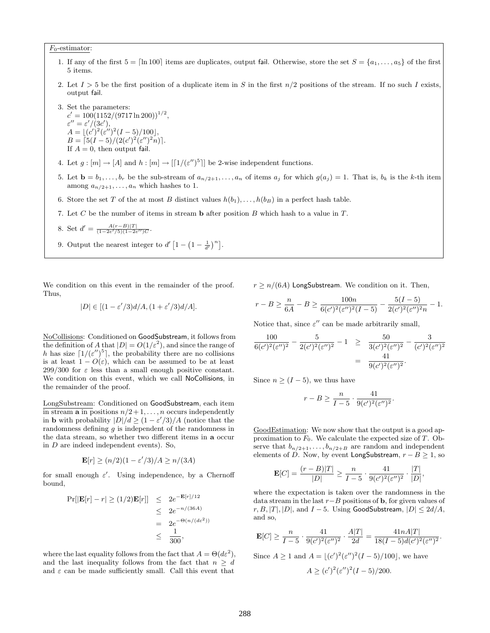$F_0$ -estimator:

- 1. If any of the first  $5 = \lfloor \ln 100 \rfloor$  items are duplicates, output fail. Otherwise, store the set  $S = \{a_1, \ldots, a_5\}$  of the first 5 items.
- 2. Let  $I > 5$  be the first position of a duplicate item in S in the first  $n/2$  positions of the stream. If no such I exists, output fail.

3. Set the parameters:  $c' = 100(1152/(9717 \ln 200))^{1/2},$  $\varepsilon'' = \varepsilon'/(3c'),$  $A = \lfloor (c')^2 (\varepsilon'')^2 (I - 5)/100 \rfloor,$  $B = \frac{5(I-5)}{(2(c')^2(\varepsilon'')^2 n)}$ . If  $A = 0$ , then output fail.

- 4. Let  $g: [m] \to [A]$  and  $h: [m] \to [[1/(\varepsilon'')^5]]$  be 2-wise independent functions.
- 5. Let  $\mathbf{b} = b_1, \ldots, b_r$  be the sub-stream of  $a_{n/2+1}, \ldots, a_n$  of items  $a_j$  for which  $g(a_j) = 1$ . That is,  $b_k$  is the k-th item among  $a_{n/2+1}, \ldots, a_n$  which hashes to 1.
- 6. Store the set T of the at most B distinct values  $h(b_1), \ldots, h(b_B)$  in a perfect hash table.
- 7. Let C be the number of items in stream **b** after position B which hash to a value in  $T$ .
- 8. Set  $d' = \frac{A(r-B)|T|}{(1-2\varepsilon'/5)(1-2\varepsilon'')C}$ .
- 9. Output the nearest integer to  $d' [1 (1 \frac{1}{d'})^n]$ .

We condition on this event in the remainder of the proof. Thus,

$$
|D| \in [(1 - \varepsilon'/3)d/A, (1 + \varepsilon'/3)d/A].
$$

NoCollisions: Conditioned on GoodSubstream, it follows from the definition of A that  $|D| = O(1/\varepsilon^2)$ , and since the range of h has size  $\left[1/(\varepsilon'')^{5}\right]$ , the probability there are no collisions is at least  $1 - O(\varepsilon)$ , which can be assumed to be at least  $299/300$  for  $\varepsilon$  less than a small enough positive constant. We condition on this event, which we call NoCollisions, in the remainder of the proof.

LongSubstream: Conditioned on GoodSubstream, each item in stream **a** in positions  $n/2+1, \ldots, n$  occurs independently in **b** with probability  $|D|/d \geq (1 - \varepsilon'/3)/A$  (notice that the randomness defining g is independent of the randomness in the data stream, so whether two different items in a occur in D are indeed independent events). So,

$$
\mathbf{E}[r] \ge (n/2)(1 - \varepsilon'/3)/A \ge n/(3A)
$$

for small enough  $\varepsilon'$ . Using independence, by a Chernoff bound,

$$
\Pr[|\mathbf{E}[r] - r| \ge (1/2)\mathbf{E}[r]] \le 2e^{-\mathbf{E}[r]/12}
$$
  
\n
$$
\le 2e^{-n/(36A)}
$$
  
\n
$$
= 2e^{-\Theta(n/(d\varepsilon^{2}))}
$$
  
\n
$$
\le \frac{1}{300},
$$

where the last equality follows from the fact that  $A = \Theta(d\varepsilon^2)$ , and the last inequality follows from the fact that  $n \geq d$ and  $\varepsilon$  can be made sufficiently small. Call this event that

 $r \geq n/(6A)$  LongSubstream. We condition on it. Then,

$$
r - B \ge \frac{n}{6A} - B \ge \frac{100n}{6(c')^2(\varepsilon'')^2(I - 5)} - \frac{5(I - 5)}{2(c')^2(\varepsilon'')^2 n} - 1.
$$

Notice that, since  $\varepsilon''$  can be made arbitrarily small,

$$
\frac{100}{6(c')^2(\varepsilon'')^2} - \frac{5}{2(c')^2(\varepsilon'')^2} - 1 \ge \frac{50}{3(c')^2(\varepsilon'')^2} - \frac{3}{(c')^2(\varepsilon'')^2} \n= \frac{41}{9(c')^2(\varepsilon'')^2}.
$$

Since  $n \geq (I-5)$ , we thus have

$$
r-B \geq \frac{n}{I-5} \cdot \frac{41}{9(c')^2(\varepsilon'')^2}.
$$

GoodEstimation: We now show that the output is a good approximation to  $F_0$ . We calculate the expected size of T. Observe that  $b_{n/2+1}, \ldots, b_{n/2+B}$  are random and independent elements of D. Now, by event LongSubstream,  $r - B \ge 1$ , so

$$
\mathbf{E}[C] = \frac{(r-B)|T|}{|D|} \ge \frac{n}{I-5} \cdot \frac{41}{9(c')^2(\varepsilon'')^2} \cdot \frac{|T|}{|D|},
$$

where the expectation is taken over the randomness in the data stream in the last  $r-B$  positions of **b**, for given values of  $r, B, |T|, |D|$ , and  $I - 5$ . Using GoodSubstream,  $|D| \leq 2d/A$ , and so,

$$
\mathbf{E}[C] \ge \frac{n}{I-5} \cdot \frac{41}{9(c')^2(\varepsilon'')^2} \cdot \frac{A|T|}{2d} = \frac{41nA|T|}{18(I-5)d(c')^2(\varepsilon'')^2}.
$$
  
Since  $A \ge 1$  and  $A = \lfloor (c')^2(\varepsilon'')^2(I-5)/100 \rfloor$ , we have  
 $A \ge (c')^2(\varepsilon'')^2(I-5)/200.$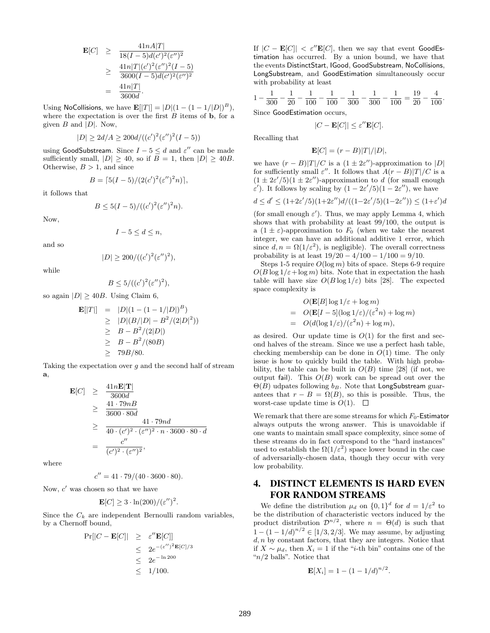$$
\begin{array}{rcl} \mathbf{E}[C] & \geq & \frac{41nA|T|}{18(I-5)d(c')^2(\varepsilon'')^2} \\ & \geq & \frac{41n|T|(c')^2(\varepsilon'')^2(I-5)}{3600(I-5)d(c')^2(\varepsilon'')^2} \\ & = & \frac{41n|T|}{3600d} .\end{array}
$$

Using NoCollisions, we have  $\mathbf{E}[|T|] = |D|(1 - (1 - 1/|D|)^B)$ , where the expectation is over the first  $B$  items of  $\mathbf b$ , for a given  $B$  and  $|D|$ . Now,

$$
|D| \ge 2d/A \ge 200d/((c')^{2}(\varepsilon'')^{2}(I-5))
$$

using GoodSubstream. Since  $I - 5 \le d$  and  $\varepsilon''$  can be made sufficiently small,  $|D| \ge 40$ , so if  $B = 1$ , then  $|D| \ge 40B$ . Otherwise,  $B > 1$ , and since

$$
B = \left[5(I-5)/(2(c')^{2}(\varepsilon'')^{2}n)\right],
$$

it follows that

$$
B \le 5(I-5)/((c')^{2}(\varepsilon'')^{2}n).
$$

Now,

$$
I-5\leq d\leq n,
$$

and so

$$
|D| \ge 200/((c')^2(\varepsilon'')^2),
$$

while

$$
B \le 5/((c')^2(\varepsilon'')^2),
$$

so again  $|D| \geq 40B$ . Using Claim 6,

$$
\begin{array}{rcl} \mathbf{E}[|T|] & = & |D| (1 - (1 - 1/|D|)^B) \\ & \geq & |D| (B/|D| - B^2 / (2|D|^2)) \\ & \geq & B - B^2 / (2|D|) \\ & \geq & B - B^2 / (80B) \\ & \geq & 79B/80. \end{array}
$$

Taking the expectation over  $g$  and the second half of stream a,

$$
\begin{array}{rcl}\n\mathbf{E}[C] & \geq & \frac{41n\mathbf{E}|\mathbf{T}|}{3600d} \\
& \geq & \frac{41 \cdot 79nB}{3600 \cdot 80d} \\
& \geq & \frac{41 \cdot 79n d}{40 \cdot (c')^2 \cdot (\varepsilon'')^2 \cdot n \cdot 3600 \cdot 80 \cdot d} \\
& = & \frac{c''}{(c')^2 \cdot (\varepsilon'')^2},\n\end{array}
$$

where

$$
c'' = 41 \cdot 79/(40 \cdot 3600 \cdot 80).
$$

Now,  $c'$  was chosen so that we have

$$
\mathbf{E}[C] \geq 3 \cdot \ln(200) / (\varepsilon'')^2.
$$

Since the  $C_k$  are independent Bernoulli random variables, by a Chernoff bound,

$$
Pr[|C - \mathbf{E}[C]| \ge \varepsilon'' \mathbf{E}[C]]
$$
  
\n
$$
\le 2e^{-(\varepsilon'')^{2}} \mathbf{E}[C]/3
$$
  
\n
$$
\le 2e^{-\ln 200}
$$
  
\n
$$
\le 1/100.
$$

If  $|C - \mathbf{E}[C]| < \varepsilon'' \mathbf{E}[C]$ , then we say that event GoodEstimation has occurred. By a union bound, we have that the events DistinctStart, IGood, GoodSubstream, NoCollisions, LongSubstream, and GoodEstimation simultaneously occur with probability at least

$$
1 - \frac{1}{300} - \frac{1}{20} - \frac{1}{100} - \frac{1}{100} - \frac{1}{300} - \frac{1}{300} - \frac{1}{100} = \frac{19}{20} - \frac{4}{100}.
$$
  
Since **GoodEstimation** occurs,

$$
|C - \mathbf{E}[C]| \le \varepsilon'' \mathbf{E}[C].
$$

Recalling that

$$
\mathbf{E}[C] = (r - B)|T|/|D|,
$$

we have  $(r - B)|T|/C$  is a  $(1 \pm 2\varepsilon'')$ -approximation to |D| for sufficiently small  $\varepsilon''$ . It follows that  $A(r-B)|T|/C$  is a  $(1 \pm 2\varepsilon'/5)(1 \pm 2\varepsilon'')$ -approximation to d (for small enough  $\varepsilon'$ ). It follows by scaling by  $(1 - 2\varepsilon'/5)(1 - 2\varepsilon'')$ , we have

$$
d \le d' \le (1+2\varepsilon'/5)(1+2\varepsilon'')d/((1-2\varepsilon'/5)(1-2\varepsilon'')) \le (1+\varepsilon')d
$$

(for small enough  $\varepsilon'$ ). Thus, we may apply Lemma 4, which shows that with probability at least 99/100, the output is a  $(1 \pm \varepsilon)$ -approximation to  $F_0$  (when we take the nearest integer, we can have an additional additive 1 error, which since  $d, n = \Omega(1/\varepsilon^2)$ , is negligible). The overall correctness probability is at least  $19/20 - 4/100 - 1/100 = 9/10$ .

Steps 1-5 require  $O(\log m)$  bits of space. Steps 6-9 require  $O(B \log 1/\varepsilon + \log m)$  bits. Note that in expectation the hash table will have size  $O(B \log 1/\varepsilon)$  bits [28]. The expected space complexity is

$$
O(\mathbf{E}[B] \log 1/\varepsilon + \log m)
$$
  
=  $O(\mathbf{E}[I - 5](\log 1/\varepsilon)/(\varepsilon^2 n) + \log m)$   
=  $O(d(\log 1/\varepsilon)/(\varepsilon^2 n) + \log m),$ 

as desired. Our update time is  $O(1)$  for the first and second halves of the stream. Since we use a perfect hash table, checking membership can be done in  $O(1)$  time. The only issue is how to quickly build the table. With high probability, the table can be built in  $O(B)$  time [28] (if not, we output fail). This  $O(B)$  work can be spread out over the  $\Theta(B)$  udpates following  $b_B$ . Note that LongSubstream guarantees that  $r - B = \Omega(B)$ , so this is possible. Thus, the worst-case update time is  $O(1)$ .  $\Box$ 

We remark that there are some streams for which  $F_0$ -Estimator always outputs the wrong answer. This is unavoidable if one wants to maintain small space complexity, since some of these streams do in fact correspond to the "hard instances" used to establish the  $\Omega(1/\varepsilon^2)$  space lower bound in the case of adversarially-chosen data, though they occur with very low probability.

# 4. DISTINCT ELEMENTS IS HARD EVEN FOR RANDOM STREAMS

We define the distribution  $\mu_d$  on  $\{0,1\}^d$  for  $d=1/\varepsilon^2$  to be the distribution of characteristic vectors induced by the product distribution  $\mathcal{D}^{n/2}$ , where  $n = \Theta(d)$  is such that  $1 - (1 - 1/d)^{n/2} \in [1/3, 2/3]$ . We may assume, by adjusting  $d, n$  by constant factors, that they are integers. Notice that if  $X \sim \mu_d$ , then  $X_i = 1$  if the "i-th bin" contains one of the " $n/2$  balls". Notice that

$$
\mathbf{E}[X_i] = 1 - (1 - 1/d)^{n/2}.
$$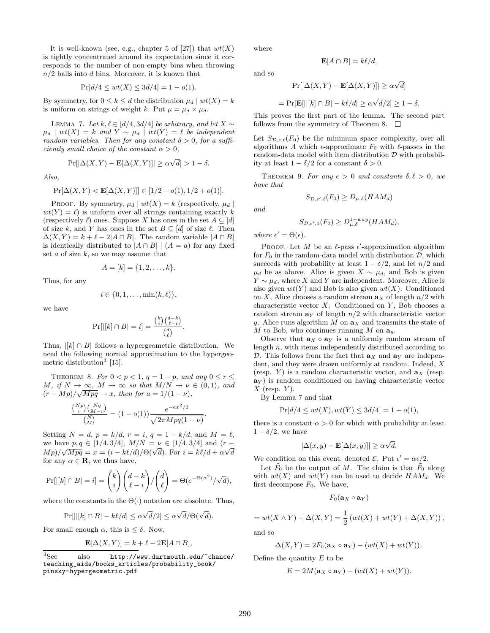It is well-known (see, e.g., chapter 5 of [27]) that  $wt(X)$ is tightly concentrated around its expectation since it corresponds to the number of non-empty bins when throwing  $n/2$  balls into d bins. Moreover, it is known that

$$
\Pr[d/4 \le wt(X) \le 3d/4] = 1 - o(1).
$$

By symmetry, for  $0 \leq k \leq d$  the distribution  $\mu_d | wt(X) = k$ is uniform on strings of weight k. Put  $\mu = \mu_d \times \mu_d$ .

LEMMA 7. Let  $k, \ell \in [d/4, 3d/4]$  be arbitrary, and let  $X \sim$  $\mu_d$  | wt(X) = k and Y ~  $\mu_d$  | wt(Y) =  $\ell$  be independent random variables. Then for any constant  $\delta > 0$ , for a sufficiently small choice of the constant  $\alpha > 0$ ,

$$
\Pr[|\Delta(X, Y) - \mathbf{E}[\Delta(X, Y)]| \ge \alpha \sqrt{d}| > 1 - \delta.
$$

Also,

$$
\Pr[\Delta(X, Y) < \mathbf{E}[\Delta(X, Y)]] \in [1/2 - o(1), 1/2 + o(1)].
$$

PROOF. By symmetry,  $\mu_d | wt(X) = k$  (respectively,  $\mu_d |$  $wt(Y) = \ell$  is uniform over all strings containing exactly k (respectively  $\ell$ ) ones. Suppose X has ones in the set  $A \subseteq [d]$ of size k, and Y has ones in the set  $B \subseteq [d]$  of size  $\ell$ . Then  $\Delta(X, Y) = k + \ell - 2|A \cap B|$ . The random variable  $|A \cap B|$ is identically distributed to  $|A \cap B|$  |  $(A = a)$  for any fixed set  $a$  of size  $k$ , so we may assume that

$$
A = [k] = \{1, 2, \dots, k\}.
$$

Thus, for any

$$
i \in \{0, 1, \ldots, \min(k, \ell)\},\
$$

we have

$$
\Pr[|[k] \cap B| = i] = \frac{\binom{k}{i} \binom{d-k}{\ell-i}}{\binom{d}{\ell}}.
$$

Thus,  $\vert [k] \cap B \vert$  follows a hypergeometric distribution. We need the following normal approximation to the hypergeometric distribution<sup>3</sup> [15].

THEOREM 8. For  $0 < p < 1$ ,  $q = 1 - p$ , and any  $0 \le r \le$  $M, if N \to \infty, M \to \infty$  so that  $M/N \to \nu \in (0,1)$ , and  $(r-Mp)/\sqrt{Mpq} \rightarrow x$ , then for  $a = 1/(1-\nu)$ ,

$$
\frac{\binom{Np}{r}\binom{Nq}{M-r}}{\binom{N}{M}} = (1 - o(1)) \frac{e^{-ax^2/2}}{\sqrt{2\pi Mpq(1-\nu)}}.
$$

Setting  $N = d$ ,  $p = k/d$ ,  $r = i$ ,  $q = 1 - k/d$ , and  $M = \ell$ , we have  $p, q \in [1/4, 3/4]$ ,  $M/N = \nu \in [1/4, 3/4]$  and  $(r - \nu)$ we have  $p, q \in [1/4, 3/4]$ ,  $M/N \equiv \nu \in [1/4, 3/4]$  and  $(r - Mp)/\sqrt{Mpq} = x = (i - k\ell/d)/\Theta(\sqrt{d})$ . For  $i = k\ell/d + \alpha\sqrt{d}$ for any  $\alpha \in \mathbf{R}$ , we thus have,

$$
\Pr[|[k] \cap B| = i] = \binom{k}{i} \binom{d-k}{\ell-i} / \binom{d}{\ell} = \Theta(e^{-\Theta(\alpha^2)} / \sqrt{d}),
$$

where the constants in the  $\Theta(\cdot)$  notation are absolute. Thus,

$$
\Pr[||[k] \cap B| - k\ell/d] \le \alpha \sqrt{d}/2] \le \alpha \sqrt{d}/\Theta(\sqrt{d}).
$$

For small enough  $\alpha$ , this is  $\leq \delta$ . Now,

$$
\mathbf{E}[\Delta(X,Y)] = k + \ell - 2\mathbf{E}[A \cap B],
$$

where

and so

$$
\mathbf{E}[A \cap B] = k\ell/d,
$$

$$
\Pr[|\Delta(X, Y) - \mathbf{E}[\Delta(X, Y)]| \ge \alpha \sqrt{d}]
$$

$$
= \Pr[\mathbf{E}[||[k] \cap B] - k\ell/d] \ge \alpha \sqrt{d}/2 \ge 1 - \delta.
$$

This proves the first part of the lemma. The second part follows from the symmetry of Theorem 8.  $\Box$ 

Let  $S_{\mathcal{D},\epsilon,\ell}(F_0)$  be the minimum space complexity, over all algorithms A which  $\epsilon$ -approximate  $F_0$  with  $\ell$ -passes in the random-data model with item distribution  $\mathcal D$  with probability at least  $1 - \delta/2$  for a constant  $\delta > 0$ .

THEOREM 9. For any  $\epsilon > 0$  and constants  $\delta, \ell > 0$ , we have that

$$
S_{\mathcal{D},\epsilon',\ell}(F_0) \ge D_{\mu,\delta}(HAM_d)
$$

and

$$
S_{\mathcal{D},\epsilon',1}(F_0) \ge D_{\mu,\delta}^{1-way}(HAM_d),
$$

where  $\epsilon' = \Theta(\epsilon)$ .

PROOF. Let M be an  $\ell$ -pass  $\epsilon'$ -approximation algorithm for  $F_0$  in the random-data model with distribution  $\mathcal{D}$ , which succeeds with probability at least  $1 - \delta/2$ , and let  $n/2$  and  $\mu_d$  be as above. Alice is given  $X \sim \mu_d$ , and Bob is given  $Y \sim \mu_d$ , where X and Y are independent. Moreover, Alice is also given  $wt(Y)$  and Bob is also given  $wt(X)$ . Conditioned on X, Alice chooses a random stream  $a_X$  of length  $n/2$  with characteristic vector  $X$ . Conditioned on  $Y$ , Bob chooses a random stream  $a<sub>Y</sub>$  of length  $n/2$  with characteristic vector y. Alice runs algorithm M on  $a_X$  and transmits the state of M to Bob, who continues running M on  $\mathbf{a}_y$ .

Observe that  $\mathbf{a}_X \circ \mathbf{a}_Y$  is a uniformly random stream of length n, with items independently distributed according to D. This follows from the fact that  $\mathbf{a}_X$  and  $\mathbf{a}_Y$  are independent, and they were drawn uniformly at random. Indeed, X (resp.  $Y$ ) is a random characteristic vector, and  $\mathbf{a}_X$  (resp.  $\mathbf{a}_{Y}$ ) is random conditioned on having characteristic vector  $X$  (resp.  $Y$ ).

By Lemma 7 and that

$$
Pr[d/4 \le wt(X), wt(Y) \le 3d/4] = 1 - o(1),
$$

there is a constant  $\alpha > 0$  for which with probability at least  $1 - \delta/2$ , we have

$$
|\Delta(x, y) - \mathbf{E}[\Delta(x, y)]| \ge \alpha \sqrt{d}.
$$

We condition on this event, denoted  $\mathcal{E}$ . Put  $\epsilon' = \alpha \epsilon/2$ .

Let  $\tilde{F}_0$  be the output of M. The claim is that  $\tilde{F}_0$  along with  $wt(X)$  and  $wt(Y)$  can be used to decide  $HAM_d$ . We first decompose  $F_0$ . We have,

$$
F_0(\mathbf{a}_X\circ\mathbf{a}_Y)
$$

$$
= wt(X \wedge Y) + \Delta(X, Y) = \frac{1}{2} (wt(X) + wt(Y) + \Delta(X, Y)),
$$

and so

$$
\Delta(X,Y) = 2F_0(\mathbf{a}_X \circ \mathbf{a}_Y) - (wt(X) + wt(Y)).
$$

Define the quantity  $E$  to be

$$
E = 2M(\mathbf{a}_X \circ \mathbf{a}_Y) - (wt(X) + wt(Y)).
$$

 ${}^{3}$ See also http://www.dartmouth.edu/~chance/ teaching\_aids/books\_articles/probability\_book/ pinsky-hypergeometric.pdf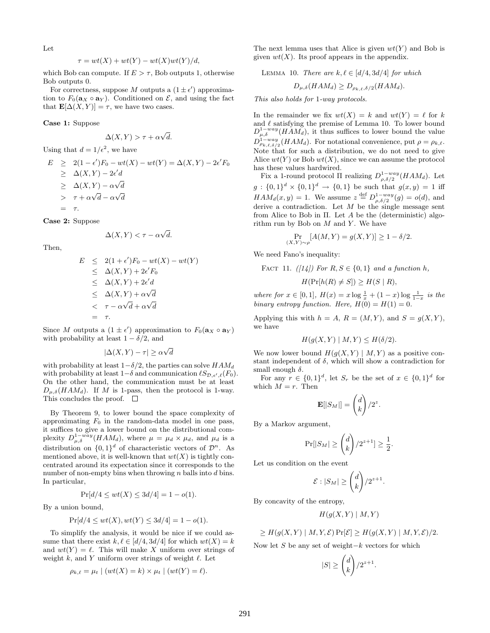Let

$$
\tau = wt(X) + wt(Y) - wt(X)wt(Y)/d,
$$

which Bob can compute. If  $E > \tau$ , Bob outputs 1, otherwise Bob outputs 0.

For correctness, suppose M outputs a  $(1 \pm \epsilon')$  approximation to  $F_0(\mathbf{a}_X \circ \mathbf{a}_Y)$ . Conditioned on  $\mathcal{E}$ , and using the fact that  $\mathbf{E}[\Delta(X, Y)] = \tau$ , we have two cases.

Case 1: Suppose

$$
\Delta(X, Y) > \tau + \alpha \sqrt{d}.
$$

Using that  $d = 1/\epsilon^2$ , we have

$$
E \geq 2(1 - \epsilon')F_0 - wt(X) - wt(Y) = \Delta(X, Y) - 2\epsilon' F_0
$$
  
\n
$$
\geq \Delta(X, Y) - 2\epsilon' d
$$
  
\n
$$
\geq \Delta(X, Y) - \alpha\sqrt{d}
$$
  
\n
$$
= \tau.
$$

Case 2: Suppose

$$
\Delta(X, Y) < \tau - \alpha \sqrt{d}.
$$

Then,

$$
E \leq 2(1+\epsilon')F_0 - wt(X) - wt(Y)
$$
  
\n
$$
\leq \Delta(X,Y) + 2\epsilon'F_0
$$
  
\n
$$
\leq \Delta(X,Y) + 2\epsilon'd
$$
  
\n
$$
\leq \Delta(X,Y) + \alpha\sqrt{d}
$$
  
\n
$$
< \tau - \alpha\sqrt{d} + \alpha\sqrt{d}
$$
  
\n
$$
= \tau.
$$

Since M outputs a  $(1 \pm \epsilon')$  approximation to  $F_0(\mathbf{a}_X \circ \mathbf{a}_Y)$ with probability at least  $1 - \delta/2$ , and

$$
|\Delta(X, Y) - \tau| \ge \alpha \sqrt{d}
$$

with probability at least  $1-\delta/2$ , the parties can solve  $HAM_d$ with probability at least  $1-\delta$  and communication  $\ell S_{\mathcal{D},\epsilon',\ell}(F_0)$ . On the other hand, the communication must be at least  $D_{\mu,\delta}(HAM_d)$ . If M is 1-pass, then the protocol is 1-way. This concludes the proof.  $\square$ 

By Theorem 9, to lower bound the space complexity of approximating  $F_0$  in the random-data model in one pass, it suffices to give a lower bound on the distributional complexity  $D_{\mu,\delta}^{1-w\bar{a}y}(HAM_d)$ , where  $\mu = \mu_d \times \mu_d$ , and  $\mu_d$  is a distribution on  $\{0,1\}^d$  of characteristic vectors of  $\mathcal{D}^n$ . As mentioned above, it is well-known that  $wt(X)$  is tightly concentrated around its expectation since it corresponds to the number of non-empty bins when throwing  $n$  balls into  $d$  bins. In particular,

$$
Pr[d/4 \le wt(X) \le 3d/4] = 1 - o(1).
$$

By a union bound,

$$
Pr[d/4 \le wt(X), wt(Y) \le 3d/4] = 1 - o(1).
$$

To simplify the analysis, it would be nice if we could assume that there exist  $k, \ell \in [d/4, 3d/4]$  for which  $wt(X) = k$ and  $wt(Y) = \ell$ . This will make X uniform over strings of weight  $k$ , and Y uniform over strings of weight  $\ell$ . Let

$$
\rho_{k,\ell} = \mu_t \mid (wt(X) = k) \times \mu_t \mid (wt(Y) = \ell).
$$

The next lemma uses that Alice is given  $wt(Y)$  and Bob is given  $wt(X)$ . Its proof appears in the appendix.

LEMMA 10. There are  $k, \ell \in [d/4, 3d/4]$  for which

$$
D_{\mu,\delta}(HAM_d) \ge D_{\rho_{k,\ell},\delta/2}(HAM_d).
$$

This also holds for 1-way protocols.

In the remainder we fix  $wt(X) = k$  and  $wt(Y) = \ell$  for k and  $\ell$  satisfying the premise of Lemma 10. To lower bound  $D_{\mu,\delta}^{1-way}(HAM_d)$ , it thus suffices to lower bound the value  $D_{\rho_{k,\ell,\delta/2}}^{1-way}(HAM_d)$ . For notational convenience, put  $\rho = \rho_{k,\ell}$ . Note that for such a distribution, we do not need to give Alice  $wt(Y)$  or Bob  $wt(X)$ , since we can assume the protocol has these values hardwired.

Fix a 1-round protocol  $\Pi$  realizing  $D_{\rho,\delta/2}^{1-way}(HAM_d)$ . Let  $g: \{0,1\}^d \times \{0,1\}^d \to \{0,1\}$  be such that  $g(x,y) = 1$  iff  $HAM_d(x,y) = 1$ . We assume  $z \stackrel{\text{def}}{=} D_{\rho,\delta/2}^{1-way}(g) = o(d)$ , and derive a contradiction. Let  $M$  be the single message sent from Alice to Bob in  $\Pi$ . Let A be the (deterministic) algorithm run by Bob on  $M$  and  $Y$ . We have

$$
\Pr_{(X,Y)\sim\rho}[A(M,Y) = g(X,Y)] \ge 1 - \delta/2.
$$

We need Fano's inequality:

FACT 11.  $(|14|)$  For  $R, S \in \{0, 1\}$  and a function h,

$$
H(\Pr[h(R) \neq S]) \geq H(S \mid R),
$$

where for  $x \in [0,1]$ ,  $H(x) = x \log \frac{1}{x} + (1-x) \log \frac{1}{1-x}$  is the binary entropy function. Here,  $H(0) = H(1) = 0$ .

Applying this with  $h = A$ ,  $R = (M, Y)$ , and  $S = q(X, Y)$ , we have

$$
H(g(X, Y) \mid M, Y) \le H(\delta/2).
$$

We now lower bound  $H(g(X, Y) | M, Y)$  as a positive constant independent of  $\delta$ , which will show a contradiction for small enough  $\delta$ .

For any  $r \in \{0,1\}^d$ , let  $S_r$  be the set of  $x \in \{0,1\}^d$  for which  $M = r$ . Then

$$
\mathbf{E}[|S_M|] = \binom{d}{k} / 2^z.
$$

By a Markov argument,

$$
\Pr[|S_M| \ge \binom{d}{k} / 2^{z+1}] \ge \frac{1}{2}
$$

.

Let us condition on the event

$$
\mathcal{E}: |S_M| \ge \binom{d}{k} / 2^{z+1}.
$$

By concavity of the entropy,

$$
H(g(X,Y) \mid M, Y)
$$

 $\geq H(g(X, Y) | M, Y, \mathcal{E}) \Pr[\mathcal{E}] \geq H(g(X, Y) | M, Y, \mathcal{E})/2.$ 

Now let S be any set of weight $-k$  vectors for which

$$
|S| \geq \binom{d}{k}/2^{z+1}.
$$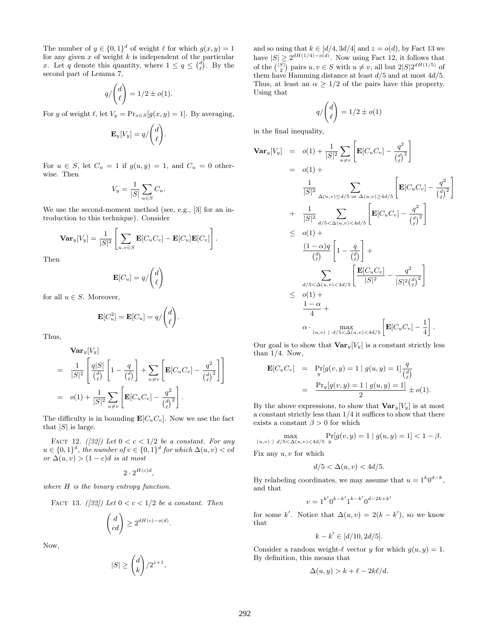The number of  $y \in \{0,1\}^d$  of weight  $\ell$  for which  $g(x, y) = 1$ for any given  $x$  of weight  $k$  is independent of the particular x. Let q denote this quantity, where  $1 \leq q \leq {d \choose \ell}$ . By the second part of Lemma 7,

$$
q/\binom{d}{\ell} = 1/2 \pm o(1).
$$

For y of weight  $\ell$ , let  $V_y = \Pr_{x \in S}[g(x, y) = 1]$ . By averaging,

$$
\mathbf{E}_y[V_y] = q/\binom{d}{\ell}.
$$

For  $u \in S$ , let  $C_u = 1$  if  $g(u, y) = 1$ , and  $C_u = 0$  otherwise. Then

$$
V_y = \frac{1}{|S|} \sum_{u \in S} C_u.
$$

We use the second-moment method (see, e.g., [3] for an introduction to this technique). Consider

$$
\mathbf{Var}_y[V_y] = \frac{1}{|S|^2} \left[ \sum_{u,v \in S} \mathbf{E}[C_u C_v] - \mathbf{E}[C_u] \mathbf{E}[C_v] \right].
$$

Then

$$
\mathbf{E}[C_u] = q/\binom{d}{\ell}
$$

for all  $u \in S$ . Moreover,

$$
\mathbf{E}[C_u^2] = \mathbf{E}[C_u] = q/\binom{d}{\ell}.
$$

Thus,

$$
\begin{split} &\mathbf{Var}_y[V_y] \\ &= \frac{1}{|S|^2} \left[ \frac{q|S|}{\binom{d}{\ell}} \left[ 1 - \frac{q}{\binom{d}{\ell}} \right] + \sum_{u \neq v} \left[ \mathbf{E}[C_u C_v] - \frac{q^2}{\binom{d}{\ell}^2} \right] \right] \\ &= o(1) + \frac{1}{|S|^2} \sum_{u \neq v} \left[ \mathbf{E}[C_u C_v] - \frac{q^2}{\binom{d}{\ell}^2} \right]. \end{split}
$$

The difficulty is in bounding  $\mathbf{E}[C_uC_v]$ . Now we use the fact that  $|S|$  is large.

FACT 12. ([32]) Let  $0 < c < 1/2$  be a constant. For any  $u \in \{0,1\}^d$ , the number of  $v \in \{0,1\}^d$  for which  $\Delta(u, v) < cd$ or  $\Delta(u, v) > (1 - c)d$  is at most

$$
2 \cdot 2^{H(c)d},
$$

where H is the binary entropy function.

FACT 13. ([32]) Let 
$$
0 < c < 1/2
$$
 be a constant. Then

$$
\begin{pmatrix} d \\ cd \end{pmatrix} \ge 2^{dH(c) - o(d)}.
$$

Now,

$$
|S| \geq \binom{d}{k}/2^{z+1}
$$

,

and so using that  $k \in [d/4, 3d/4]$  and  $z = o(d)$ , by Fact 13 we have  $|S| \geq 2^{dH(1/4) - o(d)}$ . Now using Fact 12, it follows that of the  $\binom{|S|}{2}$  pairs  $u, v \in S$  with  $u \neq v$ , all but  $2|S|2^{dH(1/5)}$  of them have Hamming distance at least  $d/5$  and at most  $4d/5$ . Thus, at least an  $\alpha \geq 1/2$  of the pairs have this property. Using that

$$
q/\binom{d}{\ell}=1/2\pm o(1)
$$

in the final inequality,

$$
\begin{split}\n\textbf{Var}_{y}[V_{y}] &= o(1) + \frac{1}{|S|^{2}} \sum_{u \neq v} \left[ \mathbf{E}[C_{u}C_{v}] - \frac{q^{2}}{\binom{d}{\ell}^{2}} \right] \\
&= o(1) + \\
&\frac{1}{|S|^{2}} \sum_{\Delta(u,v) \leq d/5 \text{ or } \Delta(u,v) \geq 4d/5} \left[ \mathbf{E}[C_{u}C_{v}] - \frac{q^{2}}{\binom{d}{\ell}^{2}} \right] \\
&\quad + \frac{1}{|S|^{2}} \sum_{d/5 < \Delta(u,v) < 4d/5} \left[ \mathbf{E}[C_{u}C_{v}] - \frac{q^{2}}{\binom{d}{\ell}^{2}} \right] \\
&\leq o(1) + \\
&\frac{(1 - \alpha)q}{\binom{d}{\ell}} \left[ 1 - \frac{q}{\binom{d}{\ell}} \right] + \\
&\sum_{d/5 < \Delta(u,v) < 4d/5} \left[ \frac{\mathbf{E}[C_{u}C_{v}]}{|S|^{2}} - \frac{q^{2}}{|S|^{2} \binom{d}{\ell}^{2}} \right] \\
&\leq o(1) + \\
&\frac{1 - \alpha}{4} + \\
&\alpha \cdot_{(u,v) + d/5} \sim \Delta(u,v) < 4d/5 \left[ \mathbf{E}[C_{u}C_{v}] - \frac{1}{4} \right].\n\end{split}
$$

Our goal is to show that  $\text{Var}_y[V_y]$  is a constant strictly less than  $1/4$ . Now,

$$
\begin{aligned} \mathbf{E}[C_u C_v] &= \Pr_y[g(v, y) = 1 \mid g(u, y) = 1] \frac{q}{\binom{d}{\ell}} \\ &= \frac{\Pr_y[g(v, y) = 1 \mid g(u, y) = 1]}{2} \pm o(1). \end{aligned}
$$

By the above expressions, to show that  $\text{Var}_{y}[V_{y}]$  is at most a constant strictly less than 1/4 it suffices to show that there exists a constant  $\beta > 0$  for which

$$
\max_{(u,v) \; | \; d/5 < \Delta(u,v) < 4d/5} \Pr_y[g(v,y) = 1 \; | \; g(u,y) = 1] < 1 - \beta.
$$

Fix any  $u, v$  for which

$$
d/5 < \Delta(u, v) < 4d/5.
$$

By relabeling coordinates, we may assume that  $u = 1^k 0^{d-k}$ , and that

$$
v = 1^{k'} 0^{k-k'} 1^{k-k'} 0^{d-2k+k'}
$$

for some k'. Notice that  $\Delta(u, v) = 2(k - k')$ , so we know that

$$
k - k' \in [d/10, 2d/5].
$$

Consider a random weight- $\ell$  vector y for which  $g(u, y) = 1$ . By definition, this means that

$$
\Delta(u, y) > k + \ell - 2k\ell/d.
$$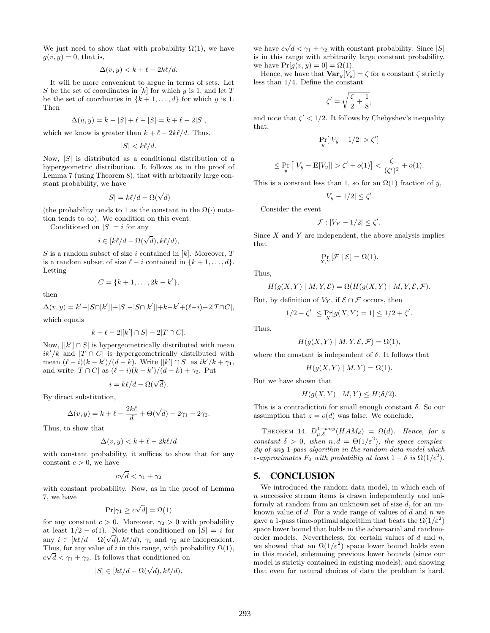We just need to show that with probability  $\Omega(1)$ , we have  $g(v, y) = 0$ , that is,

$$
\Delta(v, y) < k + \ell - 2k\ell/d.
$$

It will be more convenient to argue in terms of sets. Let S be the set of coordinates in  $[k]$  for which y is 1, and let T be the set of coordinates in  $\{k+1,\ldots,d\}$  for which y is 1. Then

$$
\Delta(u, y) = k - |S| + \ell - |S| = k + \ell - 2|S|,
$$

which we know is greater than  $k + \ell - 2k\ell/d$ . Thus,

 $|S| < k\ell/d$ .

Now,  $|S|$  is distributed as a conditional distribution of a hypergeometric distribution. It follows as in the proof of Lemma 7 (using Theorem 8), that with arbitrarily large constant probability, we have

$$
|S| = k\ell/d - \Omega(\sqrt{d})
$$

(the probability tends to 1 as the constant in the  $\Omega(\cdot)$  notation tends to  $\infty$ ). We condition on this event.

Conditioned on  $|S| = i$  for any

$$
i \in [k\ell/d - \Omega(\sqrt{d}), k\ell/d),
$$

S is a random subset of size i contained in  $[k]$ . Moreover, T is a random subset of size  $\ell - i$  contained in  $\{k + 1, \ldots, d\}.$ Letting

$$
C = \{k+1, \ldots, 2k - k'\},\
$$

then

$$
\Delta(v, y) = k' - |S \cap [k']| + |S| - |S \cap [k']| + k - k' + (\ell - i) - 2|T \cap C|,
$$

which equals

$$
k+\ell-2|[k'] \cap S|-2|T \cap C|.
$$

Now,  $\left|k'\right| \cap S$  is hypergeometrically distributed with mean  $ik'/k$  and  $|T \cap C|$  is hypergeometrically distributed with mean  $(\ell - i)(k - k')/(d - k)$ . Write  $|[k'] \cap S|$  as  $ik'/k + \gamma_1$ , and write  $|T \cap C|$  as  $(\ell - i)(k - k')/(d - k) + \gamma_2$ . Put

$$
i = k\ell/d - \Omega(\sqrt{d}).
$$

By direct substitution,

$$
\Delta(v,y) = k + \ell - \frac{2k\ell}{d} + \Theta(\sqrt{d}) - 2\gamma_1 - 2\gamma_2.
$$

Thus, to show that

$$
\Delta(v, y) < k + \ell - 2k\ell/d
$$

with constant probability, it suffices to show that for any constant  $c > 0$ , we have

$$
c\sqrt{d} < \gamma_1 + \gamma_2
$$

with constant probability. Now, as in the proof of Lemma 7, we have

$$
\Pr[\gamma_1 \ge c\sqrt{d}] = \Omega(1)
$$

for any constant  $c > 0$ . Moreover,  $\gamma_2 > 0$  with probability at least  $1/2 - o(1)$ . Note that conditioned on  $|S| = i$  for at least  $1/2 - o(1)$ . Note that conditioned on  $|S| = i$  for<br>any  $i \in [k\ell/d - \Omega(\sqrt{d}), k\ell/d)$ ,  $\gamma_1$  and  $\gamma_2$  are independent. Thus, for any value of i in this range, with probability  $\Omega(1)$ ,  $c\sqrt{d} < \gamma_1 + \gamma_2$ . It follows that conditioned on

$$
|S| \in [k\ell/d - \Omega(\sqrt{d}), k\ell/d),
$$

we have  $c\sqrt{d} < \gamma_1 + \gamma_2$  with constant probability. Since  $|S|$ is in this range with arbitrarily large constant probability, we have  $Pr[g(v, y) = 0] = \Omega(1)$ .

Hence, we have that  $\mathbf{Var}_y[V_y] = \zeta$  for a constant  $\zeta$  strictly less than 1/4. Define the constant

$$
\zeta'=\sqrt{\frac{\zeta}{2}+\frac{1}{8}},
$$

and note that  $\zeta' < 1/2$ . It follows by Chebyshev's inequality that,

$$
\Pr_{y}[|V_y - 1/2| > \zeta']
$$

$$
\leq \Pr_{y}\left[|V_y - \mathbf{E}[V_y]| > \zeta' + o(1)\right] < \frac{\zeta}{(\zeta')^2} + o(1).
$$

This is a constant less than 1, so for an  $\Omega(1)$  fraction of y,

$$
|V_y - 1/2| \le \zeta'.
$$

Consider the event

$$
\mathcal{F}: |V_Y - 1/2| \le \zeta'.
$$

Since  $X$  and  $Y$  are independent, the above analysis implies that

$$
\Pr_{X,Y}[\mathcal{F} \mid \mathcal{E}] = \Omega(1).
$$

Thus,

$$
H(g(X, Y) | M, Y, \mathcal{E}) = \Omega(H(g(X, Y) | M, Y, \mathcal{E}, \mathcal{F}).
$$

But, by definition of  $V_Y$ , if  $\mathcal{E} \cap \mathcal{F}$  occurs, then

$$
1/2 - \zeta' \le \Pr_X[g(X, Y) = 1] \le 1/2 + \zeta'.
$$

Thus,

$$
H(g(X, Y) | M, Y, \mathcal{E}, \mathcal{F}) = \Omega(1),
$$

where the constant is independent of  $\delta$ . It follows that

$$
H(g(X, Y) | M, Y) = \Omega(1).
$$

But we have shown that

$$
H(g(X, Y) \mid M, Y) \le H(\delta/2).
$$

This is a contradiction for small enough constant  $\delta$ . So our assumption that  $z = o(d)$  was false. We conclude,

THEOREM 14.  $D_{\mu,\delta}^{1-way}(HAM_d) = \Omega(d)$ . Hence, for a constant  $\delta > 0$ , when  $n, d = \Theta(1/\varepsilon^2)$ , the space complexity of any 1-pass algorithm in the random-data model which  $\epsilon$ -approximates  $F_0$  with probability at least  $1 - \delta$  is  $\Omega(1/\epsilon^2)$ .

#### 5. CONCLUSION

We introduced the random data model, in which each of n successive stream items is drawn independently and uniformly at random from an unknown set of size d, for an unknown value of  $d$ . For a wide range of values of  $d$  and  $n$  we gave a 1-pass time-optimal algorithm that beats the  $\Omega(1/\varepsilon^2)$ space lower bound that holds in the adversarial and randomorder models. Nevertheless, for certain values of  $d$  and  $n$ , we showed that an  $\Omega(1/\varepsilon^2)$  space lower bound holds even in this model, subsuming previous lower bounds (since our model is strictly contained in existing models), and showing that even for natural choices of data the problem is hard.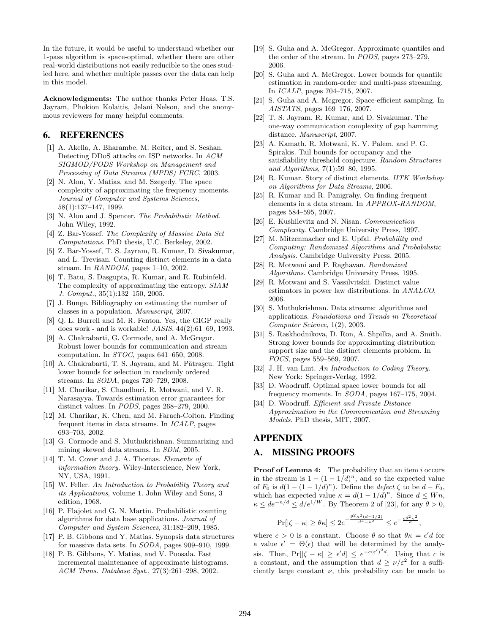In the future, it would be useful to understand whether our 1-pass algorithm is space-optimal, whether there are other real-world distributions not easily reducible to the ones studied here, and whether multiple passes over the data can help in this model.

Acknowledgments: The author thanks Peter Haas, T.S. Jayram, Phokion Kolaitis, Jelani Nelson, and the anonymous reviewers for many helpful comments.

#### 6. REFERENCES

- [1] A. Akella, A. Bharambe, M. Reiter, and S. Seshan. Detecting DDoS attacks on ISP networks. In ACM SIGMOD/PODS Workshop on Management and Processing of Data Streams (MPDS) FCRC, 2003.
- [2] N. Alon, Y. Matias, and M. Szegedy. The space complexity of approximating the frequency moments. Journal of Computer and Systems Sciences, 58(1):137–147, 1999.
- [3] N. Alon and J. Spencer. The Probabilistic Method. John Wiley, 1992.
- [4] Z. Bar-Yossef. The Complexity of Massive Data Set Computations. PhD thesis, U.C. Berkeley, 2002.
- [5] Z. Bar-Yossef, T. S. Jayram, R. Kumar, D. Sivakumar, and L. Trevisan. Counting distinct elements in a data stream. In  $\textit{RANDOM}$ , pages 1–10, 2002.
- [6] T. Batu, S. Dasgupta, R. Kumar, and R. Rubinfeld. The complexity of approximating the entropy. SIAM J. Comput., 35(1):132–150, 2005.
- [7] J. Bunge. Bibliography on estimating the number of classes in a population. Manuscript, 2007.
- [8] Q. L. Burrell and M. R. Fenton. Yes, the GIGP really does work - and is workable! JASIS, 44(2):61–69, 1993.
- [9] A. Chakrabarti, G. Cormode, and A. McGregor. Robust lower bounds for communication and stream computation. In STOC, pages 641–650, 2008.
- [10] A. Chakrabarti, T. S. Jayram, and M. Pǎtraşcu. Tight lower bounds for selection in randomly ordered streams. In SODA, pages 720–729, 2008.
- [11] M. Charikar, S. Chaudhuri, R. Motwani, and V. R. Narasayya. Towards estimation error guarantees for distinct values. In PODS, pages 268–279, 2000.
- [12] M. Charikar, K. Chen, and M. Farach-Colton. Finding frequent items in data streams. In ICALP, pages 693–703, 2002.
- [13] G. Cormode and S. Muthukrishnan. Summarizing and mining skewed data streams. In SDM, 2005.
- [14] T. M. Cover and J. A. Thomas. Elements of information theory. Wiley-Interscience, New York, NY, USA, 1991.
- [15] W. Feller. An Introduction to Probability Theory and its Applications, volume 1. John Wiley and Sons, 3 edition, 1968.
- [16] P. Flajolet and G. N. Martin. Probabilistic counting algorithms for data base applications. Journal of Computer and System Sciences, 31:182–209, 1985.
- [17] P. B. Gibbons and Y. Matias. Synopsis data structures for massive data sets. In SODA, pages 909–910, 1999.
- [18] P. B. Gibbons, Y. Matias, and V. Poosala. Fast incremental maintenance of approximate histograms. ACM Trans. Database Syst., 27(3):261–298, 2002.
- [19] S. Guha and A. McGregor. Approximate quantiles and the order of the stream. In PODS, pages 273–279, 2006.
- [20] S. Guha and A. McGregor. Lower bounds for quantile estimation in random-order and multi-pass streaming. In ICALP, pages 704–715, 2007.
- [21] S. Guha and A. Mcgregor. Space-efficient sampling. In AISTATS, pages 169–176, 2007.
- [22] T. S. Jayram, R. Kumar, and D. Sivakumar. The one-way communication complexity of gap hamming distance. Manuscript, 2007.
- [23] A. Kamath, R. Motwani, K. V. Palem, and P. G. Spirakis. Tail bounds for occupancy and the satisfiability threshold conjecture. Random Structures and Algorithms, 7(1):59–80, 1995.
- [24] R. Kumar. Story of distinct elements. IITK Workshop on Algorithms for Data Streams, 2006.
- [25] R. Kumar and R. Panigrahy. On finding frequent elements in a data stream. In APPROX-RANDOM, pages 584–595, 2007.
- [26] E. Kushilevitz and N. Nisan. Communication Complexity. Cambridge University Press, 1997.
- [27] M. Mitzenmacher and E. Upfal. Probability and Computing: Randomized Algorithms and Probabilistic Analysis. Cambridge University Press, 2005.
- [28] R. Motwani and P. Raghavan. Randomized Algorithms. Cambridge University Press, 1995.
- [29] R. Motwani and S. Vassilvitskii. Distinct value estimators in power law distributions. In ANALCO, 2006.
- [30] S. Muthukrishnan. Data streams: algorithms and applications. Foundations and Trends in Theoretical Computer Science, 1(2), 2003.
- [31] S. Raskhodnikova, D. Ron, A. Shpilka, and A. Smith. Strong lower bounds for approximating distribution support size and the distinct elements problem. In FOCS, pages 559–569, 2007.
- [32] J. H. van Lint. An Introduction to Coding Theory. New York: Springer-Verlag, 1992.
- [33] D. Woodruff. Optimal space lower bounds for all frequency moments. In SODA, pages 167–175, 2004.
- [34] D. Woodruff. Efficient and Private Distance Approximation in the Communication and Streaming Models. PhD thesis, MIT, 2007.

### APPENDIX

# A. MISSING PROOFS

Proof of Lemma 4: The probability that an item i occurs in the stream is  $1 - (1 - 1/d)^n$ , and so the expected value of  $F_0$  is  $d(1-(1-1/d)^n)$ . Define the defect  $\zeta$  to be  $d-F_0$ , which has expected value  $\kappa = d(1 - 1/d)^n$ . Since  $d \leq Wn$ ,  $\kappa \leq de^{-n/d} \leq d/e^{1/W}$ . By Theorem 2 of [23], for any  $\theta > 0$ ,

$$
\Pr[|\zeta - \kappa| \ge \theta \kappa] \le 2e^{-\frac{\theta^2 \kappa^2 (d-1/2)}{d^2 - \kappa^2}} \le e^{-\frac{c\theta^2 \kappa^2}{d}},
$$

where  $c > 0$  is a constant. Choose  $\theta$  so that  $\theta \kappa = \epsilon' d$  for a value  $\epsilon' = \Theta(\epsilon)$  that will be determined by the analysis. Then,  $Pr[|\zeta - \kappa| \geq \epsilon'd] \leq e^{-c(\epsilon')^2 d}$ . Using that c is a constant, and the assumption that  $d \ge \nu/\varepsilon^2$  for a sufficiently large constant  $\nu$ , this probability can be made to